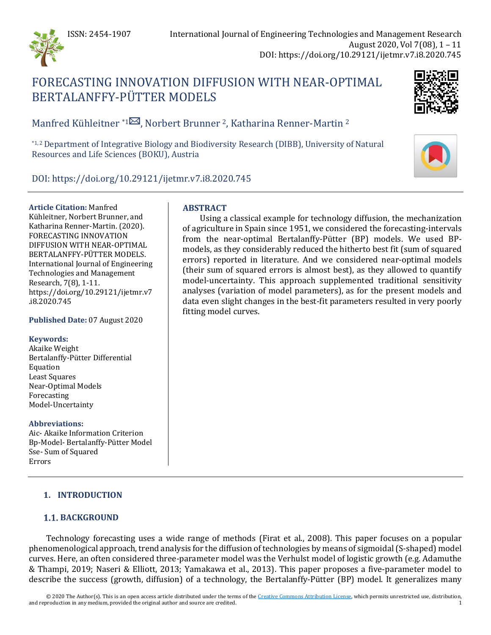

# FORECASTING INNOVATION DIFFUSION WITH NEAR-OPTIMAL BERTALANFFY-PÜTTER MODELS



Manfred Kühleitner \*[1](mailto:manfred.kuehleitner@boku.ac.at)<sup>2</sup>, Norbert Brunner <sup>2</sup>, Katharina Renner-Martin <sup>2</sup>

\*1, 2 Department of Integrative Biology and Biodiversity Research (DIBB), University of Natural Resources and Life Sciences (BOKU), Austria



DOI: https://doi.org/10.29121/ijetmr.v7.i8.2020.745

**Article Citation:** Manfred Kühleitner, Norbert Brunner, and Katharina Renner-Martin. (2020). FORECASTING INNOVATION DIFFUSION WITH NEAR-OPTIMAL BERTALANFFY-PÜTTER MODELS. International Journal of Engineering Technologies and Management Research, 7(8), 1-11. https://doi.org/10.29121/ijetmr.v7 .i8.2020.745

**Published Date:** 07 August 2020

# **Keywords:**

Akaike Weight Bertalanffy-Pütter Differential Equation Least Squares Near-Optimal Models Forecasting Model-Uncertainty

# **Abbreviations:**

Aic- Akaike Information Criterion Bp-Model- Bertalanffy-Pütter Model Sse- Sum of Squared Errors

# **ABSTRACT**

Using a classical example for technology diffusion, the mechanization of agriculture in Spain since 1951, we considered the forecasting-intervals from the near-optimal Bertalanffy-Pütter (BP) models. We used BPmodels, as they considerably reduced the hitherto best fit (sum of squared errors) reported in literature. And we considered near-optimal models (their sum of squared errors is almost best), as they allowed to quantify model-uncertainty. This approach supplemented traditional sensitivity analyses (variation of model parameters), as for the present models and data even slight changes in the best-fit parameters resulted in very poorly fitting model curves.

# **1. INTRODUCTION**

# **1.1. BACKGROUND**

Technology forecasting uses a wide range of methods (Firat et al., 2008). This paper focuses on a popular phenomenological approach, trend analysis for the diffusion of technologies by means of sigmoidal (S-shaped) model curves. Here, an often considered three-parameter model was the Verhulst model of logistic growth (e.g. Adamuthe & Thampi, 2019; Naseri & Elliott, 2013; Yamakawa et al., 2013). This paper proposes a five-parameter model to describe the success (growth, diffusion) of a technology, the Bertalanffy-Pütter (BP) model. It generalizes many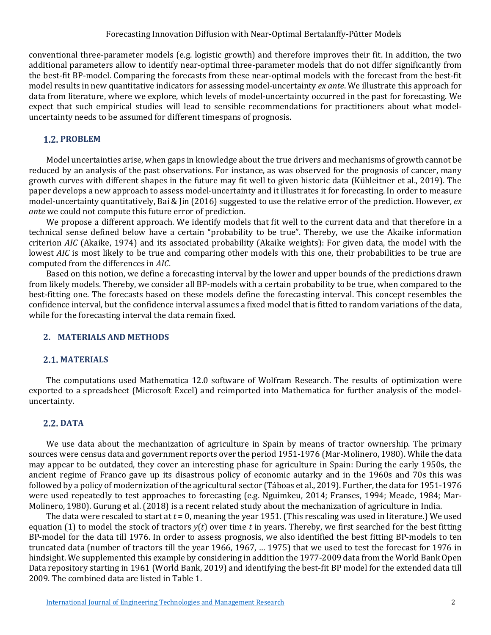conventional three-parameter models (e.g. logistic growth) and therefore improves their fit. In addition, the two additional parameters allow to identify near-optimal three-parameter models that do not differ significantly from the best-fit BP-model. Comparing the forecasts from these near-optimal models with the forecast from the best-fit model results in new quantitative indicators for assessing model-uncertainty *ex ante*. We illustrate this approach for data from literature, where we explore, which levels of model-uncertainty occurred in the past for forecasting. We expect that such empirical studies will lead to sensible recommendations for practitioners about what modeluncertainty needs to be assumed for different timespans of prognosis.

### **PROBLEM**

Model uncertainties arise, when gaps in knowledge about the true drivers and mechanisms of growth cannot be reduced by an analysis of the past observations. For instance, as was observed for the prognosis of cancer, many growth curves with different shapes in the future may fit well to given historic data (Kühleitner et al., 2019). The paper develops a new approach to assess model-uncertainty and it illustrates it for forecasting. In order to measure model-uncertainty quantitatively, Bai & Jin (2016) suggested to use the relative error of the prediction. However, *ex ante* we could not compute this future error of prediction.

We propose a different approach. We identify models that fit well to the current data and that therefore in a technical sense defined below have a certain "probability to be true". Thereby, we use the Akaike information criterion *AIC* (Akaike, 1974) and its associated probability (Akaike weights): For given data, the model with the lowest *AIC* is most likely to be true and comparing other models with this one, their probabilities to be true are computed from the differences in *AIC*.

Based on this notion, we define a forecasting interval by the lower and upper bounds of the predictions drawn from likely models. Thereby, we consider all BP-models with a certain probability to be true, when compared to the best-fitting one. The forecasts based on these models define the forecasting interval. This concept resembles the confidence interval, but the confidence interval assumes a fixed model that is fitted to random variations of the data, while for the forecasting interval the data remain fixed.

### **2. MATERIALS AND METHODS**

#### **2.1. MATERIALS**

The computations used Mathematica 12.0 software of Wolfram Research. The results of optimization were exported to a spreadsheet (Microsoft Excel) and reimported into Mathematica for further analysis of the modeluncertainty.

# **DATA**

We use data about the mechanization of agriculture in Spain by means of tractor ownership. The primary sources were census data and government reports over the period 1951-1976 (Mar-Molinero, 1980). While the data may appear to be outdated, they cover an interesting phase for agriculture in Spain: During the early 1950s, the ancient regime of Franco gave up its disastrous policy of economic autarky and in the 1960s and 70s this was followed by a policy of modernization of the agricultural sector (Táboas et al., 2019). Further, the data for 1951-1976 were used repeatedly to test approaches to forecasting (e.g. Nguimkeu, 2014; Franses, 1994; Meade, 1984; Mar-Molinero, 1980). Gurung et al. (2018) is a recent related study about the mechanization of agriculture in India.

The data were rescaled to start at *t* = 0, meaning the year 1951. (This rescaling was used in literature.) We used equation (1) to model the stock of tractors *y*(*t*) over time *t* in years. Thereby, we first searched for the best fitting BP-model for the data till 1976. In order to assess prognosis, we also identified the best fitting BP-models to ten truncated data (number of tractors till the year 1966, 1967, … 1975) that we used to test the forecast for 1976 in hindsight. We supplemented this example by considering in addition the 1977-2009 data from the World Bank Open Data repository starting in 1961 (World Bank, 2019) and identifying the best-fit BP model for the extended data till 2009. The combined data are listed in Table 1.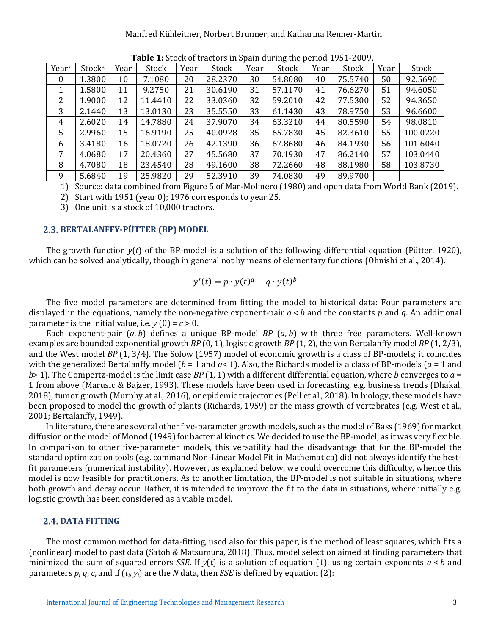#### Manfred Kühleitner, Norbert Brunner, and Katharina Renner-Martin

| Year <sup>2</sup> | Stock <sup>3</sup> | Year | <b>Table 11</b> block of tractors in opain aaring the period 1991 2009.<br>Stock | Year | Stock   | Year | Stock   | Year | Stock   | Year | Stock    |
|-------------------|--------------------|------|----------------------------------------------------------------------------------|------|---------|------|---------|------|---------|------|----------|
| $\bf{0}$          | 1.3800             | 10   | 7.1080                                                                           | 20   | 28.2370 | 30   | 54.8080 | 40   | 75.5740 | 50   | 92.5690  |
| 1                 | 1.5800             | 11   | 9.2750                                                                           | 21   | 30.6190 | 31   | 57.1170 | 41   | 76.6270 | 51   | 94.6050  |
| 2                 | 1.9000             | 12   | 11.4410                                                                          | 22   | 33.0360 | 32   | 59.2010 | 42   | 77.5300 | 52   | 94.3650  |
| 3                 | 2.1440             | 13   | 13.0130                                                                          | 23   | 35.5550 | 33   | 61.1430 | 43   | 78.9750 | 53   | 96.6600  |
| 4                 | 2.6020             | 14   | 14.7880                                                                          | 24   | 37.9070 | 34   | 63.3210 | 44   | 80.5590 | 54   | 98.0810  |
| 5                 | 2.9960             | 15   | 16.9190                                                                          | 25   | 40.0928 | 35   | 65.7830 | 45   | 82.3610 | 55   | 100.0220 |
| 6                 | 3.4180             | 16   | 18.0720                                                                          | 26   | 42.1390 | 36   | 67.8680 | 46   | 84.1930 | 56   | 101.6040 |
| 7                 | 4.0680             | 17   | 20.4360                                                                          | 27   | 45.5680 | 37   | 70.1930 | 47   | 86.2140 | 57   | 103.0440 |
| 8                 | 4.7080             | 18   | 23.4540                                                                          | 28   | 49.1600 | 38   | 72.2660 | 48   | 88.1980 | 58   | 103.8730 |
| 9                 | 5.6840             | 19   | 25.9820                                                                          | 29   | 52.3910 | 39   | 74.0830 | 49   | 89.9700 |      |          |

**Table 1:** Stock of tractors in Spain during the period 1951-2009.1

1) Source: data combined from Figure 5 of Mar-Molinero (1980) and open data from World Bank (2019).

2) Start with 1951 (year 0); 1976 corresponds to year 25.

3) One unit is a stock of 10,000 tractors.

# **BERTALANFFY-PÜTTER (BP) MODEL**

The growth function *y*(*t*) of the BP-model is a solution of the following differential equation (Pütter, 1920), which can be solved analytically, though in general not by means of elementary functions (Ohnishi et al., 2014).

$$
y'(t) = p \cdot y(t)^a - q \cdot y(t)^b
$$

The five model parameters are determined from fitting the model to historical data: Four parameters are displayed in the equations, namely the non-negative exponent-pair *a* < *b* and the constants *p* and *q*. An additional parameter is the initial value, i.e.  $y(0) = c > 0$ .

Each exponent-pair (*a*, *b*) defines a unique BP-model *BP* (*a*, *b*) with three free parameters. Well-known examples are bounded exponential growth *BP* (0, 1), logistic growth *BP* (1, 2), the von Bertalanffy model *BP* (1, 2/3), and the West model *BP* (1, 3/4). The Solow (1957) model of economic growth is a class of BP-models; it coincides with the generalized Bertalanffy model ( $b = 1$  and  $a < 1$ ). Also, the Richards model is a class of BP-models ( $a = 1$  and *b*> 1). The Gompertz-model is the limit case *BP* (1, 1) with a different differential equation, where *b* converges to *a* = 1 from above (Marusic & Bajzer, 1993). These models have been used in forecasting, e.g. business trends (Dhakal, 2018), tumor growth (Murphy at al., 2016), or epidemic trajectories (Pell et al., 2018). In biology, these models have been proposed to model the growth of plants (Richards, 1959) or the mass growth of vertebrates (e.g. West et al., 2001; Bertalanffy, 1949).

In literature, there are several other five-parameter growth models, such as the model of Bass (1969) for market diffusion or the model of Monod (1949) for bacterial kinetics. We decided to use the BP-model, as it was very flexible. In comparison to other five-parameter models, this versatility had the disadvantage that for the BP-model the standard optimization tools (e.g. command Non-Linear Model Fit in Mathematica) did not always identify the bestfit parameters (numerical instability). However, as explained below, we could overcome this difficulty, whence this model is now feasible for practitioners. As to another limitation, the BP-model is not suitable in situations, where both growth and decay occur. Rather, it is intended to improve the fit to the data in situations, where initially e.g. logistic growth has been considered as a viable model.

# **2.4. DATA FITTING**

The most common method for data-fitting, used also for this paper, is the method of least squares, which fits a (nonlinear) model to past data (Satoh & Matsumura, 2018). Thus, model selection aimed at finding parameters that minimized the sum of squared errors *SSE*. If  $v(t)$  is a solution of equation (1), using certain exponents  $a < b$  and parameters  $p$ ,  $q$ ,  $c$ , and if  $(t_i, y_i)$  are the *N* data, then *SSE* is defined by equation (2):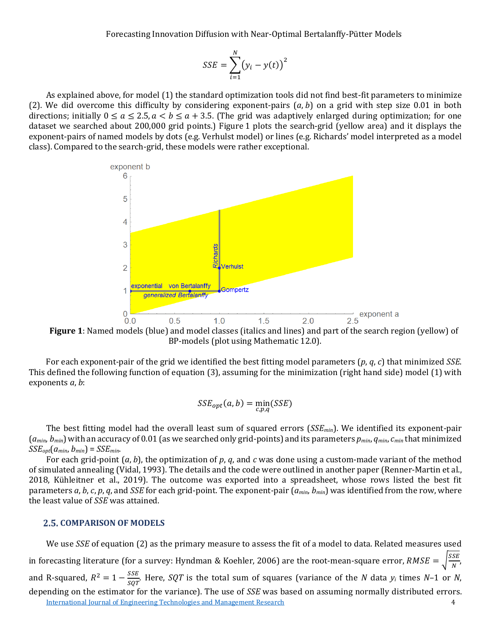$$
SSE = \sum_{i=1}^{N} (y_i - y(t))^2
$$

As explained above, for model (1) the standard optimization tools did not find best-fit parameters to minimize (2). We did overcome this difficulty by considering exponent-pairs (*a*, *b*) on a grid with step size 0.01 in both directions; initially  $0 \le a \le 2.5$ ,  $a < b \le a + 3.5$ . (The grid was adaptively enlarged during optimization; for one dataset we searched about 200,000 grid points.) Figure 1 plots the search-grid (yellow area) and it displays the exponent-pairs of named models by dots (e.g. Verhulst model) or lines (e.g. Richards' model interpreted as a model class). Compared to the search-grid, these models were rather exceptional.



**Figure 1**: Named models (blue) and model classes (italics and lines) and part of the search region (yellow) of BP-models (plot using Mathematic 12.0).

For each exponent-pair of the grid we identified the best fitting model parameters (*p*, *q*, *c*) that minimized *SSE*. This defined the following function of equation (3), assuming for the minimization (right hand side) model (1) with exponents *a*, *b*:

$$
SSE_{opt}(a, b) = \min_{c, p, q} (SSE)
$$

The best fitting model had the overall least sum of squared errors (*SSEmin*). We identified its exponent-pair (*amin*, *bmin*) with an accuracy of 0.01 (as we searched only grid-points) and its parameters *pmin*, *qmin*, *cmin* that minimized  $SSE_{opt}(a_{min}, b_{min}) = SSE_{min}$ .

For each grid-point (*a*, *b*), the optimization of *p*, *q*, and *c* was done using a custom-made variant of the method of simulated annealing (Vidal, 1993). The details and the code were outlined in another paper (Renner-Martin et al., 2018, Kühleitner et al., 2019). The outcome was exported into a spreadsheet, whose rows listed the best fit parameters *a*, *b*, *c*, *p*, *q*, and *SSE* for each grid-point. The exponent-pair (*amin*, *bmin*) was identified from the row, where the least value of *SSE* was attained.

#### **2.5. COMPARISON OF MODELS**

[International Journal of Engineering Technologies and Management Research](https://www.granthaalayahpublication.org/ijetmr-ojms/index.php/ijetmr) 4 We use *SSE* of equation (2) as the primary measure to assess the fit of a model to data. Related measures used in forecasting literature (for a survey: Hyndman & Koehler, 2006) are the root-mean-square error,  $RMSE = \sqrt{\frac{SSE}{N}}$ , and R-squared,  $R^2 = 1 - \frac{SSE}{SQT}$ . Here, *SQT* is the total sum of squares (variance of the *N* data  $y_i$  times *N*–1 or *N*, depending on the estimator for the variance). The use of *SSE* was based on assuming normally distributed errors.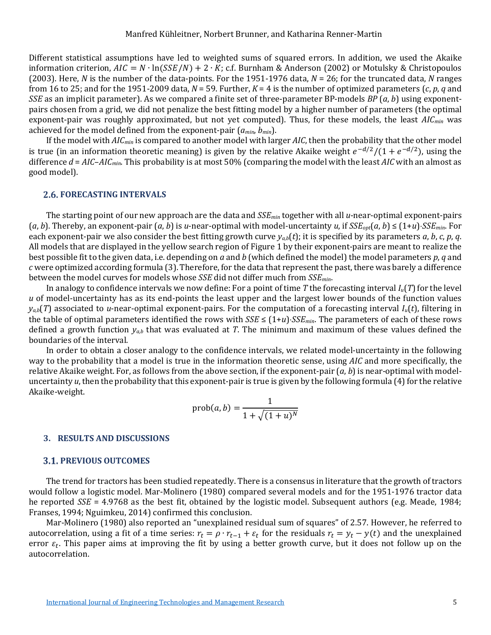Different statistical assumptions have led to weighted sums of squared errors. In addition, we used the Akaike information criterion,  $AIC = N \cdot \ln(SSE/N) + 2 \cdot K$ ; c.f. Burnham & Anderson (2002) or Motulsky & Christopoulos (2003). Here, *N* is the number of the data-points. For the 1951-1976 data, *N* = 26; for the truncated data, *N* ranges from 16 to 25; and for the 1951-2009 data,  $N = 59$ . Further,  $K = 4$  is the number of optimized parameters  $(c, p, q)$  and *SSE* as an implicit parameter). As we compared a finite set of three-parameter BP-models *BP* (*a*, *b*) using exponentpairs chosen from a grid, we did not penalize the best fitting model by a higher number of parameters (the optimal exponent-pair was roughly approximated, but not yet computed). Thus, for these models, the least *AICmin* was achieved for the model defined from the exponent-pair (*amin*, *bmin*).

If the model with *AICmin* is compared to another model with larger *AIC*, then the probability that the other model is true (in an information theoretic meaning) is given by the relative Akaike weight  $e^{-d/2}/(1 + e^{-d/2})$ , using the difference *d* = *AIC*–*AICmin*. This probability is at most 50% (comparing the model with the least *AIC* with an almost as good model).

### **FORECASTING INTERVALS**

The starting point of our new approach are the data and *SSEmin* together with all *u*-near-optimal exponent-pairs  $(a, b)$ . Thereby, an exponent-pair  $(a, b)$  is *u*-near-optimal with model-uncertainty *u*, if  $SSE_{\text{out}}(a, b) \le (1 + u) \cdot SSE_{\text{min}}$ . For each exponent-pair we also consider the best fitting growth curve  $y_{ab}(t)$ ; it is specified by its parameters *a*, *b*, *c*, *p*, *q*. All models that are displayed in the yellow search region of Figure 1 by their exponent-pairs are meant to realize the best possible fit to the given data, i.e. depending on *a* and *b* (which defined the model) the model parameters *p*, *q* and *c* were optimized according formula (3). Therefore, for the data that represent the past, there was barely a difference between the model curves for models whose *SSE* did not differ much from *SSEmin*.

In analogy to confidence intervals we now define: For a point of time *T* the forecasting interval *Iu*(*T*) for the level *u* of model-uncertainty has as its end-points the least upper and the largest lower bounds of the function values  $y_{a,b}(T)$  associated to *u*-near-optimal exponent-pairs. For the computation of a forecasting interval  $I_u(t)$ , filtering in the table of optimal parameters identified the rows with *SSE* ≤ (1+*u*)⋅*SSEmin*. The parameters of each of these rows defined a growth function *ya,b* that was evaluated at *T*. The minimum and maximum of these values defined the boundaries of the interval.

In order to obtain a closer analogy to the confidence intervals, we related model-uncertainty in the following way to the probability that a model is true in the information theoretic sense, using *AIC* and more specifically, the relative Akaike weight. For, as follows from the above section, if the exponent-pair (*a*, *b*) is near-optimal with modeluncertainty *u*, then the probability that this exponent-pair is true is given by the following formula (4) for the relative Akaike-weight.

$$
\operatorname{prob}(a, b) = \frac{1}{1 + \sqrt{(1 + u)^N}}
$$

#### **3. RESULTS AND DISCUSSIONS**

#### **PREVIOUS OUTCOMES**

The trend for tractors has been studied repeatedly. There is a consensus in literature that the growth of tractors would follow a logistic model. Mar-Molinero (1980) compared several models and for the 1951-1976 tractor data he reported *SSE* = 4.9768 as the best fit, obtained by the logistic model. Subsequent authors (e.g. Meade, 1984; Franses, 1994; Nguimkeu, 2014) confirmed this conclusion.

Mar-Molinero (1980) also reported an "unexplained residual sum of squares" of 2.57. However, he referred to autocorrelation, using a fit of a time series:  $r_t = \rho \cdot r_{t-1} + \varepsilon_t$  for the residuals  $r_t = y_t - y(t)$  and the unexplained error  $\varepsilon_t$ . This paper aims at improving the fit by using a better growth curve, but it does not follow up on the autocorrelation.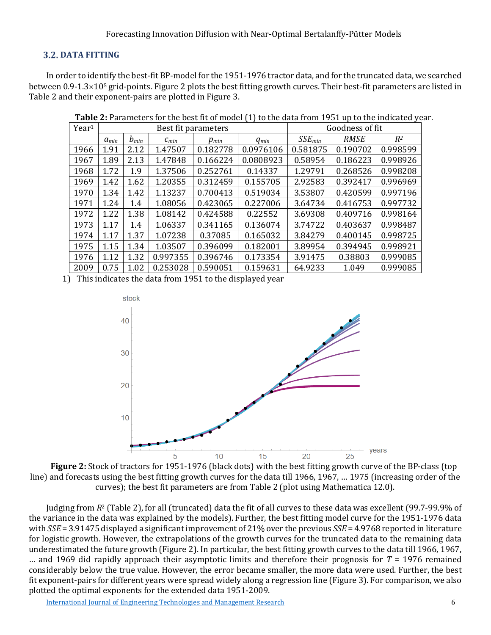# **DATA FITTING**

In order to identify the best-fit BP-model for the 1951-1976 tractor data, and for the truncated data, we searched between  $0.9$ -1.3×10<sup>5</sup> grid-points. Figure 2 plots the best fitting growth curves. Their best-fit parameters are listed in Table 2 and their exponent-pairs are plotted in Figure 3.

| Year <sup>1</sup> |           |           | Best fit parameters |           | Goodness of fit |             |             |          |
|-------------------|-----------|-----------|---------------------|-----------|-----------------|-------------|-------------|----------|
|                   | $a_{min}$ | $b_{min}$ | $c_{min}$           | $p_{min}$ | $q_{min}$       | $SSE_{min}$ | <b>RMSE</b> | $R^2$    |
| 1966              | 1.91      | 2.12      | 1.47507             | 0.182778  | 0.0976106       | 0.581875    | 0.190702    | 0.998599 |
| 1967              | 1.89      | 2.13      | 1.47848             | 0.166224  | 0.0808923       | 0.58954     | 0.186223    | 0.998926 |
| 1968              | 1.72      | 1.9       | 1.37506             | 0.252761  | 0.14337         | 1.29791     | 0.268526    | 0.998208 |
| 1969              | 1.42      | 1.62      | 1.20355             | 0.312459  | 0.155705        | 2.92583     | 0.392417    | 0.996969 |
| 1970              | 1.34      | 1.42      | 1.13237             | 0.700413  | 0.519034        | 3.53807     | 0.420599    | 0.997196 |
| 1971              | 1.24      | 1.4       | 1.08056             | 0.423065  | 0.227006        | 3.64734     | 0.416753    | 0.997732 |
| 1972              | 1.22      | 1.38      | 1.08142             | 0.424588  | 0.22552         | 3.69308     | 0.409716    | 0.998164 |
| 1973              | 1.17      | 1.4       | 1.06337             | 0.341165  | 0.136074        | 3.74722     | 0.403637    | 0.998487 |
| 1974              | 1.17      | 1.37      | 1.07238             | 0.37085   | 0.165032        | 3.84279     | 0.400145    | 0.998725 |
| 1975              | 1.15      | 1.34      | 1.03507             | 0.396099  | 0.182001        | 3.89954     | 0.394945    | 0.998921 |
| 1976              | 1.12      | 1.32      | 0.997355            | 0.396746  | 0.173354        | 3.91475     | 0.38803     | 0.999085 |
| 2009              | 0.75      | 1.02      | 0.253028            | 0.590051  | 0.159631        | 64.9233     | 1.049       | 0.999085 |

**Table 2:** Parameters for the best fit of model (1) to the data from 1951 up to the indicated year.

1) This indicates the data from 1951 to the displayed year



**Figure 2:** Stock of tractors for 1951-1976 (black dots) with the best fitting growth curve of the BP-class (top line) and forecasts using the best fitting growth curves for the data till 1966, 1967, ... 1975 (increasing order of the curves); the best fit parameters are from Table 2 (plot using Mathematica 12.0).

Judging from *R*<sup>2</sup> (Table 2), for all (truncated) data the fit of all curves to these data was excellent (99.7-99.9% of the variance in the data was explained by the models). Further, the best fitting model curve for the 1951-1976 data with *SSE* = 3.91475 displayed a significant improvement of 21% over the previous *SSE* = 4.9768 reported in literature for logistic growth. However, the extrapolations of the growth curves for the truncated data to the remaining data underestimated the future growth (Figure 2). In particular, the best fitting growth curves to the data till 1966, 1967, ... and 1969 did rapidly approach their asymptotic limits and therefore their prognosis for  $T = 1976$  remained considerably below the true value. However, the error became smaller, the more data were used. Further, the best fit exponent-pairs for different years were spread widely along a regression line (Figure 3). For comparison, we also plotted the optimal exponents for the extended data 1951-2009.

[International Journal of Engineering Technologies and Management Research](https://www.granthaalayahpublication.org/ijetmr-ojms/index.php/ijetmr) 6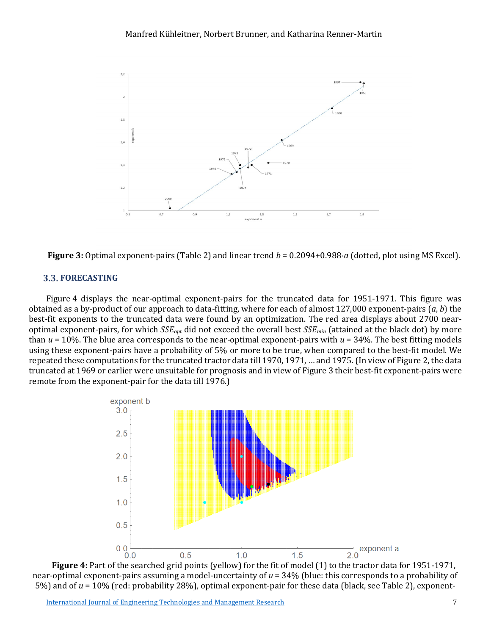

**Figure 3:** Optimal exponent-pairs (Table 2) and linear trend *b* = 0.2094+0.988⋅*a* (dotted, plot using MS Excel).

# **3.3. FORECASTING**

Figure 4 displays the near-optimal exponent-pairs for the truncated data for 1951-1971. This figure was obtained as a by-product of our approach to data-fitting, where for each of almost 127,000 exponent-pairs (*a*, *b*) the best-fit exponents to the truncated data were found by an optimization. The red area displays about 2700 nearoptimal exponent-pairs, for which *SSEopt* did not exceed the overall best *SSEmin* (attained at the black dot) by more than  $u = 10$ %. The blue area corresponds to the near-optimal exponent-pairs with  $u = 34$ %. The best fitting models using these exponent-pairs have a probability of 5% or more to be true, when compared to the best-fit model. We repeated these computations for the truncated tractor data till 1970, 1971, … and 1975. (In view of Figure 2, the data truncated at 1969 or earlier were unsuitable for prognosis and in view of Figure 3 their best-fit exponent-pairs were remote from the exponent-pair for the data till 1976.)



**Figure 4:** Part of the searched grid points (yellow) for the fit of model (1) to the tractor data for 1951-1971, near-optimal exponent-pairs assuming a model-uncertainty of *u* = 34% (blue: this corresponds to a probability of 5%) and of *u* = 10% (red: probability 28%), optimal exponent-pair for these data (black, see Table 2), exponent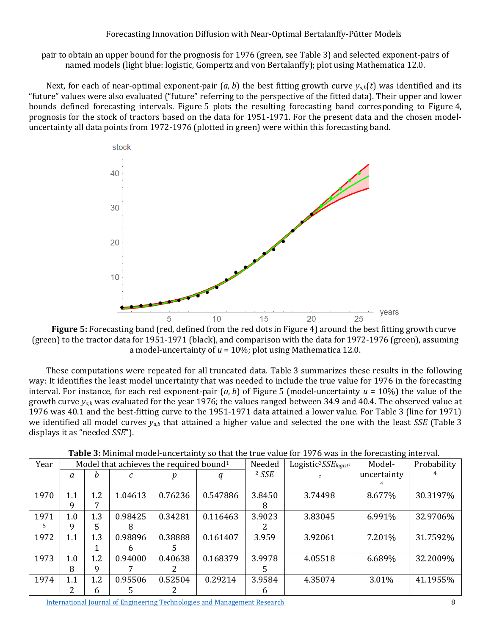pair to obtain an upper bound for the prognosis for 1976 (green, see Table 3) and selected exponent-pairs of named models (light blue: logistic, Gompertz and von Bertalanffy); plot using Mathematica 12.0.

Next, for each of near-optimal exponent-pair  $(a, b)$  the best fitting growth curve  $y_{a,b}(t)$  was identified and its "future" values were also evaluated ("future" referring to the perspective of the fitted data). Their upper and lower bounds defined forecasting intervals. Figure 5 plots the resulting forecasting band corresponding to Figure 4, prognosis for the stock of tractors based on the data for 1951-1971. For the present data and the chosen modeluncertainty all data points from 1972-1976 (plotted in green) were within this forecasting band.



**Figure 5:** Forecasting band (red, defined from the red dots in Figure 4) around the best fitting growth curve (green) to the tractor data for 1951-1971 (black), and comparison with the data for 1972-1976 (green), assuming a model-uncertainty of *u* = 10%; plot using Mathematica 12.0.

These computations were repeated for all truncated data. Table 3 summarizes these results in the following way: It identifies the least model uncertainty that was needed to include the true value for 1976 in the forecasting interval. For instance, for each red exponent-pair  $(a, b)$  of Figure 5 (model-uncertainty  $u = 10\%$ ) the value of the growth curve *ya,b* was evaluated for the year 1976; the values ranged between 34.9 and 40.4. The observed value at 1976 was 40.1 and the best-fitting curve to the 1951-1971 data attained a lower value. For Table 3 (line for 1971) we identified all model curves *ya,b* that attained a higher value and selected the one with the least *SSE* (Table 3 displays it as "needed *SSE*").

| Year |     |             | Model that achieves the required bound <sup>1</sup> |         |          | Needed  | $Logistic3SSElogisti$ | Model-      | Probability |
|------|-----|-------------|-----------------------------------------------------|---------|----------|---------|-----------------------|-------------|-------------|
|      | a   | h           |                                                     |         |          | $2$ SSE |                       | uncertainty |             |
|      |     |             |                                                     |         |          |         |                       |             |             |
| 1970 | 1.1 | 1.2         | 1.04613                                             | 0.76236 | 0.547886 | 3.8450  | 3.74498               | 8.677%      | 30.3197%    |
|      | 9   |             |                                                     |         |          | 8       |                       |             |             |
| 1971 | 1.0 | 1.3         | 0.98425                                             | 0.34281 | 0.116463 | 3.9023  | 3.83045               | 6.991%      | 32.9706%    |
| .5   | 9   | 5.          | 8                                                   |         |          |         |                       |             |             |
| 1972 | 1.1 | 1.3         | 0.98896                                             | 0.38888 | 0.161407 | 3.959   | 3.92061               | 7.201%      | 31.7592%    |
|      |     |             | h                                                   |         |          |         |                       |             |             |
| 1973 | 1.0 | 1.2         | 0.94000                                             | 0.40638 | 0.168379 | 3.9978  | 4.05518               | 6.689%      | 32.2009%    |
|      | 8   | 9           |                                                     |         |          | ٠h      |                       |             |             |
| 1974 | 1.1 | 1.2         | 0.95506                                             | 0.52504 | 0.29214  | 3.9584  | 4.35074               | 3.01%       | 41.1955%    |
|      | ว   | $\mathbf b$ | 5                                                   |         |          | 6       |                       |             |             |

**Table 3:** Minimal model-uncertainty so that the true value for 1976 was in the forecasting interval.

[International Journal of Engineering Technologies and Management Research](https://www.granthaalayahpublication.org/ijetmr-ojms/index.php/ijetmr) 8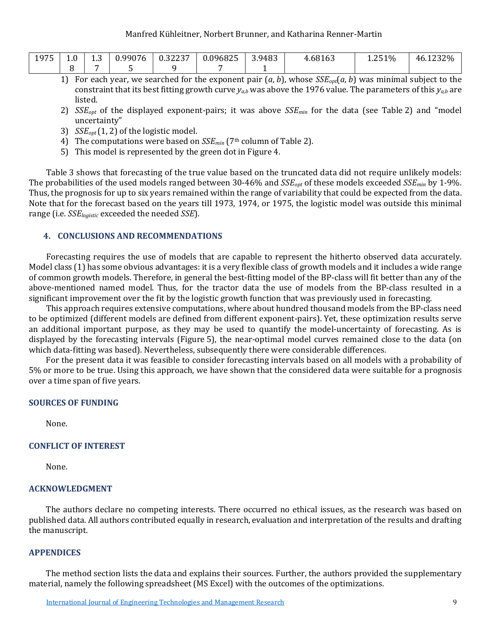| 1975<br>171 J | 1.0 | $\sim$<br>2. . U | .9907<br>$\overline{\phantom{a}}$<br>ັບ | 0.222<br><u> U.SZZ31</u> | 0.096825 | 3.9483 | 4.6816. | 1.251% | 46.1232% |
|---------------|-----|------------------|-----------------------------------------|--------------------------|----------|--------|---------|--------|----------|
|               |     |                  |                                         |                          |          |        |         |        |          |

- 1) For each year, we searched for the exponent pair  $(a, b)$ , whose  $SSE_{opt}(a, b)$  was minimal subject to the constraint that its best fitting growth curve  $y_{a,b}$  was above the 1976 value. The parameters of this  $y_{a,b}$  are listed.
- 2) *SSEopt* of the displayed exponent-pairs; it was above *SSEmin* for the data (see Table 2) and "model uncertainty"
- 3) *SSEopt*(1, 2) of the logistic model.
- 4) The computations were based on *SSE<sub>min</sub>* (7<sup>th</sup> column of Table 2).
- 5) This model is represented by the green dot in Figure 4.

Table 3 shows that forecasting of the true value based on the truncated data did not require unlikely models: The probabilities of the used models ranged between 30-46% and *SSE<sub>opt</sub>* of these models exceeded *SSE<sub>min</sub>* by 1-9%. Thus, the prognosis for up to six years remained within the range of variability that could be expected from the data. Note that for the forecast based on the years till 1973, 1974, or 1975, the logistic model was outside this minimal range (i.e. *SSElogistic* exceeded the needed *SSE*).

# **4. CONCLUSIONS AND RECOMMENDATIONS**

Forecasting requires the use of models that are capable to represent the hitherto observed data accurately. Model class (1) has some obvious advantages: it is a very flexible class of growth models and it includes a wide range of common growth models. Therefore, in general the best-fitting model of the BP-class will fit better than any of the above-mentioned named model. Thus, for the tractor data the use of models from the BP-class resulted in a significant improvement over the fit by the logistic growth function that was previously used in forecasting.

This approach requires extensive computations, where about hundred thousand models from the BP-class need to be optimized (different models are defined from different exponent-pairs). Yet, these optimization results serve an additional important purpose, as they may be used to quantify the model-uncertainty of forecasting. As is displayed by the forecasting intervals (Figure 5), the near-optimal model curves remained close to the data (on which data-fitting was based). Nevertheless, subsequently there were considerable differences.

For the present data it was feasible to consider forecasting intervals based on all models with a probability of 5% or more to be true. Using this approach, we have shown that the considered data were suitable for a prognosis over a time span of five years.

# **SOURCES OF FUNDING**

None.

# **CONFLICT OF INTEREST**

None.

# **ACKNOWLEDGMENT**

The authors declare no competing interests. There occurred no ethical issues, as the research was based on published data. All authors contributed equally in research, evaluation and interpretation of the results and drafting the manuscript.

# **APPENDICES**

The method section lists the data and explains their sources. Further, the authors provided the supplementary material, namely the following spreadsheet (MS Excel) with the outcomes of the optimizations.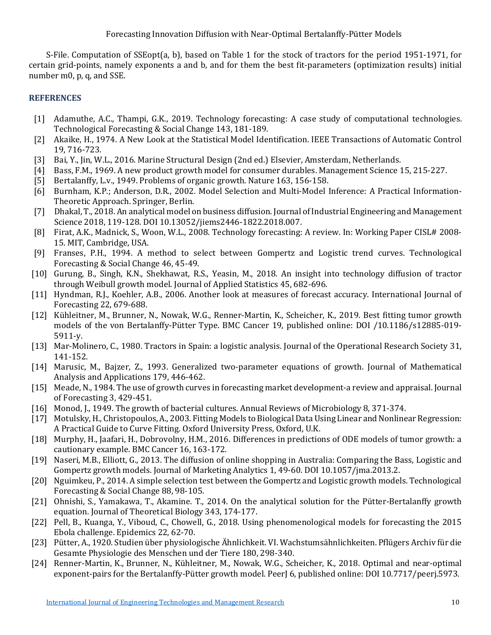S-File. Computation of SSEopt(a, b), based on Table 1 for the stock of tractors for the period 1951-1971, for certain grid-points, namely exponents a and b, and for them the best fit-parameters (optimization results) initial number m0, p, q, and SSE.

# **REFERENCES**

- [1] Adamuthe, A.C., Thampi, G.K., 2019. Technology forecasting: A case study of computational technologies. Technological Forecasting & Social Change 143, 181-189.
- [2] Akaike, H., 1974. A New Look at the Statistical Model Identification. IEEE Transactions of Automatic Control 19, 716-723.
- [3] Bai, Y., Jin, W.L., 2016. Marine Structural Design (2nd ed.) Elsevier, Amsterdam, Netherlands.<br>[4] Bass, F.M., 1969. A new product growth model for consumer durables. Management Science 1
- [4] Bass, F.M., 1969. A new product growth model for consumer durables. Management Science 15, 215-227.<br>[5] Bertalanffy, L.v., 1949. Problems of organic growth. Nature 163, 156-158.
- [5] Bertalanffy, L.v., 1949. Problems of organic growth. Nature 163, 156-158.<br>[6] Burnham, K.P.; Anderson, D.R., 2002. Model Selection and Multi-Model I
- [6] Burnham, K.P.; Anderson, D.R., 2002. Model Selection and Multi-Model Inference: A Practical Information-Theoretic Approach. Springer, Berlin.
- [7] Dhakal, T., 2018. An analytical model on business diffusion. Journal of Industrial Engineering and Management Science 2018, 119-128. DOI 10.13052/jiems2446-1822.2018.007.
- [8] Firat, A.K., Madnick, S., Woon, W.L., 2008. Technology forecasting: A review. In: Working Paper CISL# 2008-15. MIT, Cambridge, USA.
- [9] Franses, P.H., 1994. A method to select between Gompertz and Logistic trend curves. Technological Forecasting & Social Change 46, 45-49.
- [10] Gurung, B., Singh, K.N., Shekhawat, R.S., Yeasin, M., 2018. An insight into technology diffusion of tractor through Weibull growth model. Journal of Applied Statistics 45, 682-696.
- [11] Hyndman, R.J., Koehler, A.B., 2006. Another look at measures of forecast accuracy. International Journal of Forecasting 22, 679-688.
- [12] Kühleitner, M., Brunner, N., Nowak, W.G., Renner-Martin, K., Scheicher, K., 2019. Best fitting tumor growth models of the von Bertalanffy-Pütter Type. BMC Cancer 19, published online: DOI /10.1186/s12885-019- 5911-y.
- [13] Mar-Molinero, C., 1980. Tractors in Spain: a logistic analysis. Journal of the Operational Research Society 31, 141-152.
- [14] Marusic, M., Bajzer, Z., 1993. Generalized two-parameter equations of growth. Journal of Mathematical Analysis and Applications 179, 446-462.
- [15] Meade, N., 1984. The use of growth curves in forecasting market development-a review and appraisal. Journal of Forecasting 3, 429-451.
- [16] Monod, J., 1949. The growth of bacterial cultures. Annual Reviews of Microbiology 8, 371-374.
- [17] Motulsky, H., Christopoulos, A., 2003. Fitting Models to Biological Data Using Linear and Nonlinear Regression: A Practical Guide to Curve Fitting. Oxford University Press, Oxford, U.K.
- [18] Murphy, H., Jaafari, H., Dobrovolny, H.M., 2016. Differences in predictions of ODE models of tumor growth: a cautionary example. BMC Cancer 16, 163-172.
- [19] Naseri, M.B., Elliott, G., 2013. The diffusion of online shopping in Australia: Comparing the Bass, Logistic and Gompertz growth models. Journal of Marketing Analytics 1, 49-60. DOI 10.1057/jma.2013.2.
- [20] Nguimkeu, P., 2014. A simple selection test between the Gompertz and Logistic growth models. Technological Forecasting & Social Change 88, 98-105.
- [21] Ohnishi, S., Yamakawa, T., Akamine. T., 2014. On the analytical solution for the Pütter-Bertalanffy growth equation. Journal of Theoretical Biology 343, 174-177.
- [22] Pell, B., Kuanga, Y., Viboud, C., Chowell, G., 2018. Using phenomenological models for forecasting the 2015 Ebola challenge. Epidemics 22, 62-70.
- [23] Pütter, A., 1920. Studien über physiologische Ähnlichkeit. VI. Wachstumsähnlichkeiten. Pflügers Archiv für die Gesamte Physiologie des Menschen und der Tiere 180, 298-340.
- [24] Renner-Martin, K., Brunner, N., Kühleitner, M., Nowak, W.G., Scheicher, K., 2018. Optimal and near-optimal exponent-pairs for the Bertalanffy-Pütter growth model. Peer [6, published online: DOI 10.7717/peerj.5973.